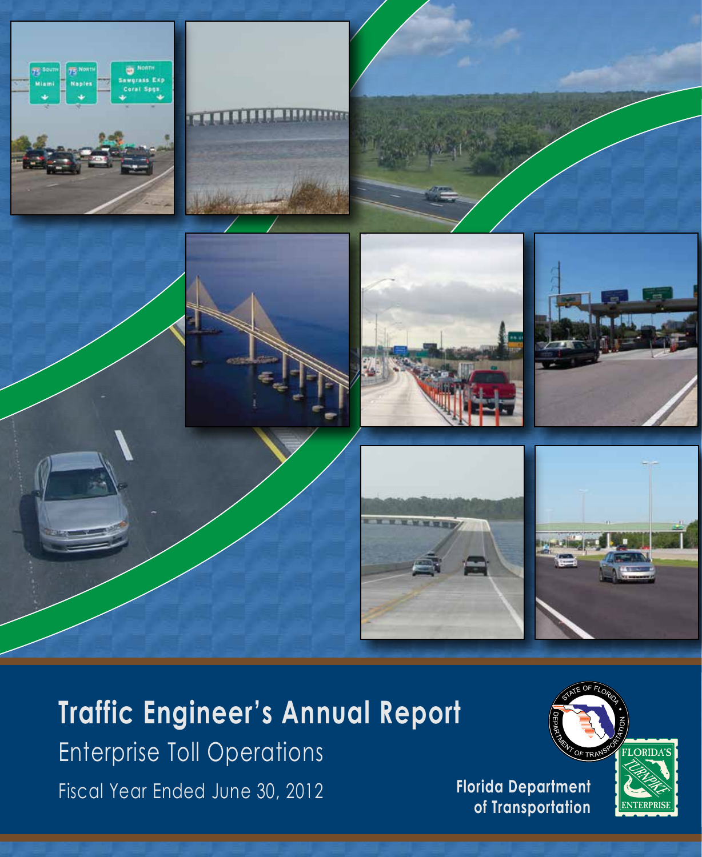













# **Traffic Engineer's Annual Report**

Fiscal Year Ended June 30, 2012 **Florida Department** Enterprise Toll Operations



**of Transportation**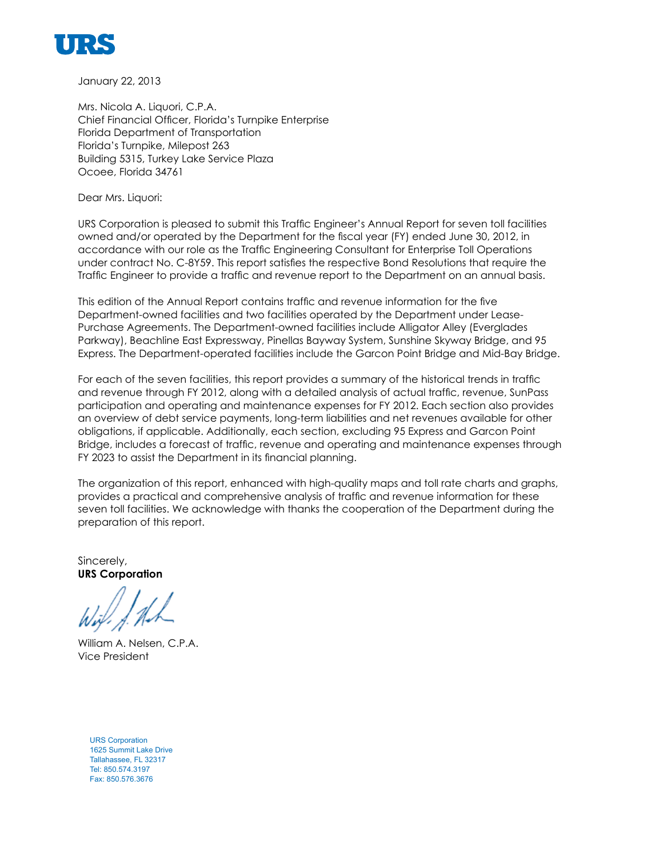

January 22, 2013

Mrs. Nicola A. Liquori, C.P.A. Chief Financial Officer, Florida's Turnpike Enterprise Florida Department of Transportation Florida's Turnpike, Milepost 263 Building 5315, Turkey Lake Service Plaza Ocoee, Florida 34761

Dear Mrs. Liquori:

URS Corporation is pleased to submit this Traffic Engineer's Annual Report for seven toll facilities owned and/or operated by the Department for the fiscal year (FY) ended June 30, 2012, in accordance with our role as the Traffic Engineering Consultant for Enterprise Toll Operations under contract No. C-8Y59. This report satisfies the respective Bond Resolutions that require the Traffic Engineer to provide a traffic and revenue report to the Department on an annual basis.

This edition of the Annual Report contains traffic and revenue information for the five Department-owned facilities and two facilities operated by the Department under Lease-Purchase Agreements. The Department-owned facilities include Alligator Alley (Everglades Parkway), Beachline East Expressway, Pinellas Bayway System, Sunshine Skyway Bridge, and 95 Express. The Department-operated facilities include the Garcon Point Bridge and Mid-Bay Bridge.

For each of the seven facilities, this report provides a summary of the historical trends in traffic and revenue through FY 2012, along with a detailed analysis of actual traffic, revenue, SunPass participation and operating and maintenance expenses for FY 2012. Each section also provides an overview of debt service payments, long-term liabilities and net revenues available for other obligations, if applicable. Additionally, each section, excluding 95 Express and Garcon Point Bridge, includes a forecast of traffic, revenue and operating and maintenance expenses through FY 2023 to assist the Department in its financial planning.

The organization of this report, enhanced with high-quality maps and toll rate charts and graphs, provides a practical and comprehensive analysis of traffic and revenue information for these seven toll facilities. We acknowledge with thanks the cooperation of the Department during the preparation of this report.

Sincerely, **URS Corporation**

William A. Nelsen, C.P.A. Vice President

URS Corporation 1625 Summit Lake Drive Tallahassee, FL 32317 Tel: 850.574.3197 Fax: 850.576.3676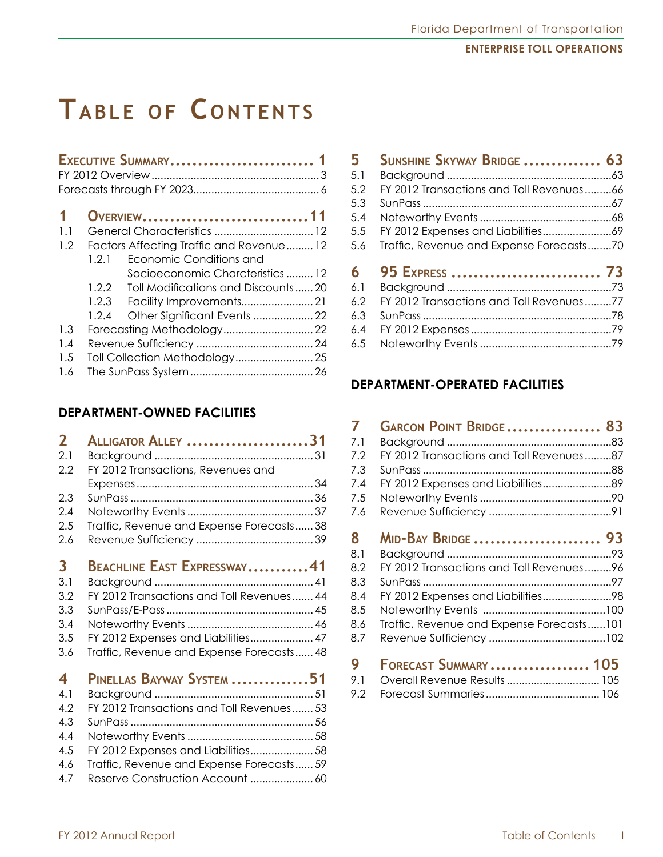# **Tabl e of C o ntents**

|     |       | EXECUTIVE SUMMARY 1                      |
|-----|-------|------------------------------------------|
| 1   |       | OVERVIEW11                               |
| 1.1 |       |                                          |
| 1.2 |       | Factors Affecting Traffic and Revenue 12 |
|     | 1.2.1 | Economic Conditions and                  |
|     |       | Socioeconomic Charcteristics  12         |
|     | 1.2.2 | Toll Modifications and Discounts20       |
|     | 1.2.3 |                                          |
|     | 1.2.4 | Other Significant Events  22             |
| 1.3 |       |                                          |
| 1.4 |       |                                          |
| 1.5 |       |                                          |
| 1.6 |       |                                          |

### **Department-owned Facilities**

| $\overline{2}$          | Alligator Alley 31                        |
|-------------------------|-------------------------------------------|
| 2.1                     |                                           |
| 2.2                     | FY 2012 Transactions, Revenues and        |
|                         |                                           |
| 2.3                     |                                           |
| 2.4                     |                                           |
| 2.5                     | Traffic, Revenue and Expense Forecasts 38 |
| 2.6                     |                                           |
|                         |                                           |
| $\overline{\mathbf{3}}$ | BEACHLINE EAST EXPRESSWAY41               |
| 3.1                     |                                           |
| 3.2                     | FY 2012 Transactions and Toll Revenues 44 |
| 3.3                     |                                           |
| 3.4                     |                                           |
| 3.5                     | FY 2012 Expenses and Liabilities 47       |
| 3.6                     | Traffic, Revenue and Expense Forecasts 48 |
|                         |                                           |
| 4                       | PINELLAS BAYWAY SYSTEM 51                 |
| 4.1                     |                                           |
| 42                      | FY 2012 Transactions and Toll Revenues 53 |
| 4.3                     |                                           |
| 4.4                     |                                           |
| 4.5                     | FY 2012 Expenses and Liabilities 58       |
| 4.6                     | Traffic, Revenue and Expense Forecasts 59 |
| 4.7                     | Reserve Construction Account  60          |

| 5   | SUNSHINE SKYWAY BRIDGE  63               |  |
|-----|------------------------------------------|--|
| 5.1 |                                          |  |
| 5.2 | FY 2012 Transactions and Toll Revenues66 |  |
| 5.3 |                                          |  |
| 5.4 |                                          |  |
| 5.5 |                                          |  |
| 5.6 | Traffic, Revenue and Expense Forecasts70 |  |
|     |                                          |  |
| 6   | 95 EXPRESS  73                           |  |
| 6.1 |                                          |  |
| 6.2 | FY 2012 Transactions and Toll Revenues77 |  |
| 6.3 |                                          |  |
| 6.4 |                                          |  |

### **Department-operated Facilities**

| 7   | GARCON POINT BRIDGE 83                    |  |
|-----|-------------------------------------------|--|
| 7.1 |                                           |  |
| 7.2 | FY 2012 Transactions and Toll Revenues87  |  |
| 7.3 |                                           |  |
| 7.4 |                                           |  |
| 7.5 |                                           |  |
| 7.6 |                                           |  |
|     |                                           |  |
| 8   | MID-BAY BRIDGE 93                         |  |
| 8.1 |                                           |  |
| 8.2 | FY 2012 Transactions and Toll Revenues96  |  |
| 8.3 |                                           |  |
| 8.4 | FY 2012 Expenses and Liabilities98        |  |
| 8.5 |                                           |  |
| 8.6 | Traffic, Revenue and Expense Forecasts101 |  |
| 8.7 |                                           |  |
|     |                                           |  |
| 9   | FORECAST SUMMARY 105                      |  |
| 91  | Overall Revenue Results 105               |  |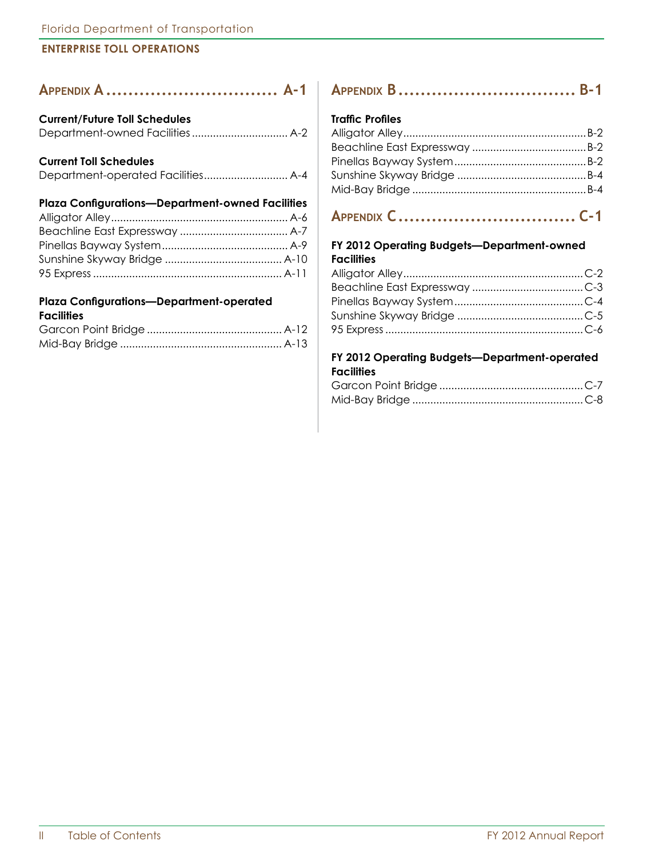| APPENDIX A  A-1                                         |  |
|---------------------------------------------------------|--|
| <b>Current/Future Toll Schedules</b>                    |  |
|                                                         |  |
| <b>Current Toll Schedules</b>                           |  |
|                                                         |  |
| <b>Plaza Configurations-Department-owned Facilities</b> |  |
|                                                         |  |
|                                                         |  |
|                                                         |  |
|                                                         |  |

## 95 Express............................................................... A-11 **Plaza Configurations—Department-operated**

#### **Facilities**

## **Appendix B................................ B-1**

#### **Traffic Profiles**

## **Appendix C................................ C-1**

#### **FY 2012 Operating Budgets—Department-owned Facilities**

#### **FY 2012 Operating Budgets—Department-operated Facilities**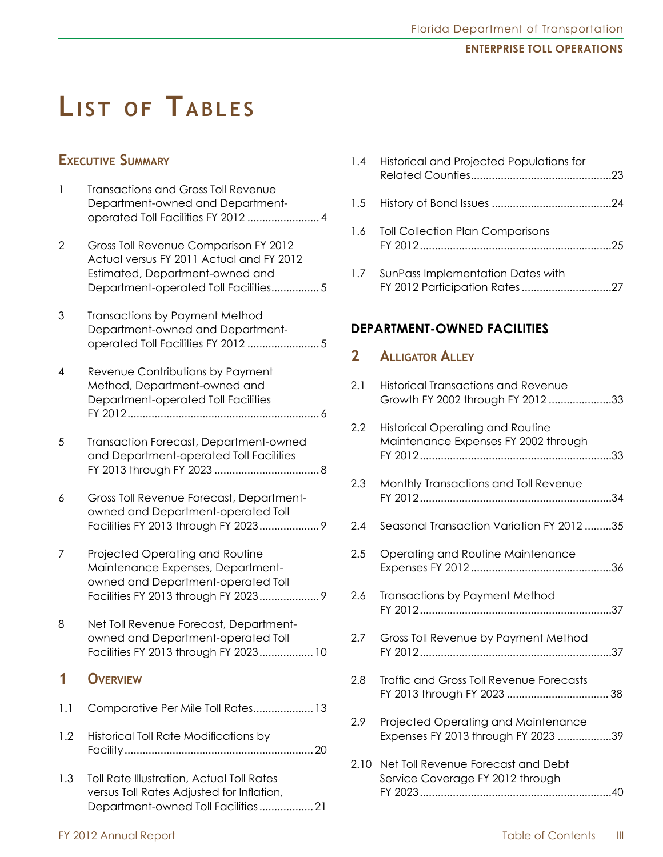## **LIST OF TABLES**

### **Executive Summary**

| <b>Transactions and Gross Toll Revenue</b> |
|--------------------------------------------|
| Department-owned and Department-           |
| operated Toll Facilities FY 2012  4        |
|                                            |

- 2 Gross Toll Revenue Comparison FY 2012 Actual versus FY 2011 Actual and FY 2012 Estimated, Department-owned and Department-operated Toll Facilities................ 5
- 3 Transactions by Payment Method Department-owned and Department- operated Toll Facilities FY 2012 ........................ 5
- 4 Revenue Contributions by Payment Method, Department-owned and Department-operated Toll Facilities FY 2012................................................................ 6
- 5 Transaction Forecast, Department-owned and Department-operated Toll Facilities FY 2013 through FY 2023 ................................... 8
- 6 Gross Toll Revenue Forecast, Department- owned and Department-operated Toll Facilities FY 2013 through FY 2023.................... 9
- 7 Projected Operating and Routine Maintenance Expenses, Department- owned and Department-operated Toll Facilities FY 2013 through FY 2023.................... 9
- 8 Net Toll Revenue Forecast, Department- owned and Department-operated Toll Facilities FY 2013 through FY 2023.................. 10

### **1 Overview**

- 1.1 Comparative Per Mile Toll Rates.................... 13
- 1.2 Historical Toll Rate Modifications by Facility............................................................... 20
- 1.3 Toll Rate Illustration, Actual Toll Rates versus Toll Rates Adjusted for Inflation, Department-owned Toll Facilities.................. 21

|                                    | 1.4 Historical and Projected Populations for                                    |  |
|------------------------------------|---------------------------------------------------------------------------------|--|
|                                    |                                                                                 |  |
|                                    | 1.6 Toll Collection Plan Comparisons                                            |  |
|                                    | 1.7 SunPass Implementation Dates with<br>FY 2012 Participation Rates27          |  |
| <b>DEPARTMENT-OWNED FACILITIES</b> |                                                                                 |  |
|                                    |                                                                                 |  |
|                                    | 2 <b>ALLIGATOR ALLEY</b>                                                        |  |
| 2.1                                | <b>Historical Transactions and Revenue</b><br>Growth FY 2002 through FY 2012 33 |  |

- 2.3 Monthly Transactions and Toll Revenue FY 2012................................................................34
- 2.4 Seasonal Transaction Variation FY 2012 .........35
- 2.5 Operating and Routine Maintenance Expenses FY 2012 ...............................................36
- 2.6 Transactions by Payment Method FY 2012................................................................37
- 2.7 Gross Toll Revenue by Payment Method FY 2012................................................................37
- 2.8 Traffic and Gross Toll Revenue Forecasts FY 2013 through FY 2023 .................................. 38
- 2.9 Projected Operating and Maintenance Expenses FY 2013 through FY 2023 ..................39
- 2.10 Net Toll Revenue Forecast and Debt Service Coverage FY 2012 through FY 2023................................................................40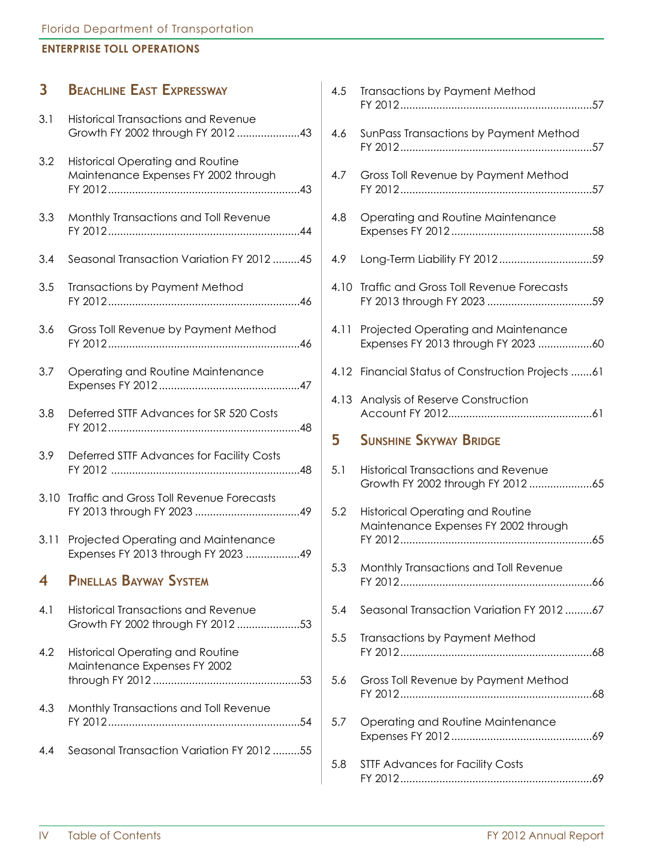| $\overline{\mathbf{3}}$ | <b>BEACHLINE EAST EXPRESSWAY</b>                                                | 4.5 | <b>Transactions by Payment Method</b>                                           |
|-------------------------|---------------------------------------------------------------------------------|-----|---------------------------------------------------------------------------------|
| 3.1                     | <b>Historical Transactions and Revenue</b><br>Growth FY 2002 through FY 2012 43 | 4.6 | SunPass Transactions by Payment Method                                          |
| 3.2                     | <b>Historical Operating and Routine</b><br>Maintenance Expenses FY 2002 through | 4.7 | Gross Toll Revenue by Payment Method                                            |
| 3.3                     | Monthly Transactions and Toll Revenue                                           | 4.8 | Operating and Routine Maintenance                                               |
| 3.4                     | Seasonal Transaction Variation FY 2012 45                                       | 4.9 |                                                                                 |
| 3.5                     | Transactions by Payment Method                                                  |     | 4.10 Traffic and Gross Toll Revenue Forecasts                                   |
| 3.6                     | Gross Toll Revenue by Payment Method                                            |     | 4.11 Projected Operating and Maintenance                                        |
| 3.7                     | Operating and Routine Maintenance                                               |     | 4.12 Financial Status of Construction Projects 61                               |
| 3.8                     | Deferred STTF Advances for SR 520 Costs                                         |     | 4.13 Analysis of Reserve Construction                                           |
| 3.9                     | Deferred STTF Advances for Facility Costs                                       | 5   | <b>SUNSHINE SKYWAY BRIDGE</b>                                                   |
| 3.10                    | <b>Traffic and Gross Toll Revenue Forecasts</b>                                 | 5.1 | <b>Historical Transactions and Revenue</b>                                      |
|                         |                                                                                 | 5.2 | <b>Historical Operating and Routine</b><br>Maintenance Expenses FY 2002 through |
| 3.11                    | Projected Operating and Maintenance<br>Expenses FY 2013 through FY 2023 49      |     |                                                                                 |
| $\overline{\bf 4}$      | <b>PINELLAS BAYWAY SYSTEM</b>                                                   | 5.3 | Monthly Transactions and Toll Revenue                                           |
| 4.1                     | <b>Historical Transactions and Revenue</b><br>Growth FY 2002 through FY 2012 53 | 5.4 | Seasonal Transaction Variation FY 2012 67                                       |
| 4.2                     | Historical Operating and Routine<br>Maintenance Expenses FY 2002                | 5.5 | <b>Transactions by Payment Method</b>                                           |
|                         |                                                                                 | 5.6 | Gross Toll Revenue by Payment Method                                            |
| 4.3                     | Monthly Transactions and Toll Revenue                                           | 5.7 | Operating and Routine Maintenance                                               |
| 4.4                     | Seasonal Transaction Variation FY 2012 55                                       | 5.8 | <b>STTF Advances for Facility Costs</b>                                         |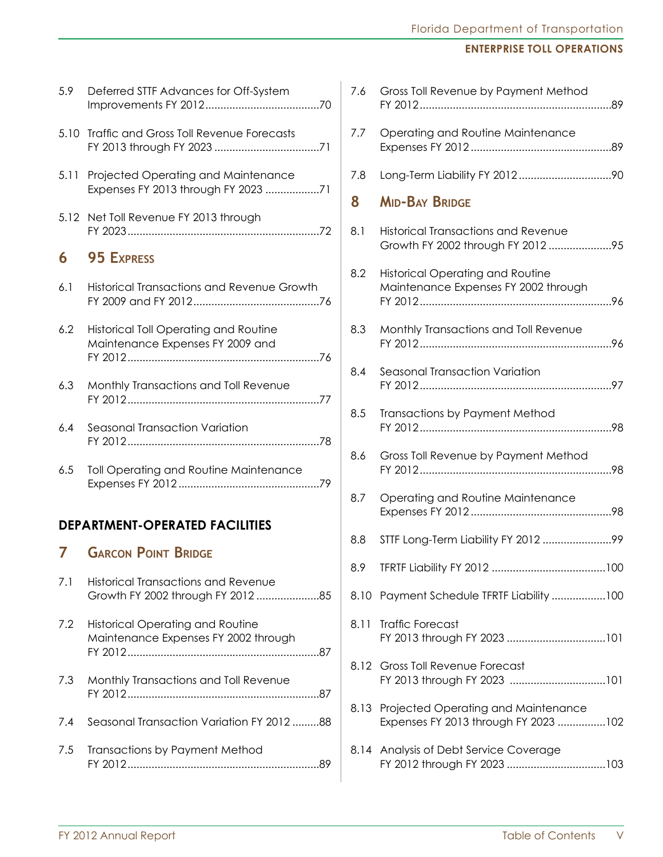## Florida Department of Transportation

### **Enterprise Toll Operations**

| 5.9  | Deferred STTF Advances for Off-System                                            |
|------|----------------------------------------------------------------------------------|
| 5.10 | <b>Traffic and Gross Toll Revenue Forecasts</b>                                  |
|      | 5.11 Projected Operating and Maintenance<br>Expenses FY 2013 through FY 2023 71  |
|      | 5.12 Net Toll Revenue FY 2013 through                                            |
| 6    | <b>95 EXPRESS</b>                                                                |
| 6.1  | <b>Historical Transactions and Revenue Growth</b>                                |
| 6.2  | <b>Historical Toll Operating and Routine</b><br>Maintenance Expenses FY 2009 and |
| 6.3  | Monthly Transactions and Toll Revenue                                            |
| 6.4  | Seasonal Transaction Variation                                                   |
| 6.5  | Toll Operating and Routine Maintenance                                           |
|      | <b>DEPARTMENT-OPERATED FACILITIES</b>                                            |
| 7    | <b>GARCON POINT BRIDGE</b>                                                       |
| 7.1  | <b>Historical Transactions and Revenue</b><br>Growth FY 2002 through FY 201285   |
| 7.2  | <b>Historical Operating and Routine</b><br>Maintenance Expenses FY 2002 through  |
| 7.3  | Monthly Transactions and Toll Revenue                                            |
| 7.4  | Seasonal Transaction Variation FY 2012 88                                        |
| 7.5  | <b>Transactions by Payment Method</b>                                            |

| 7.6  | Gross Toll Revenue by Payment Method                                             |
|------|----------------------------------------------------------------------------------|
| 7.7  | Operating and Routine Maintenance                                                |
| 7.8  |                                                                                  |
| 8    | <b>MID-BAY BRIDGE</b>                                                            |
| 8.1  | <b>Historical Transactions and Revenue</b><br>Growth FY 2002 through FY 2012 95  |
| 8.2  | <b>Historical Operating and Routine</b><br>Maintenance Expenses FY 2002 through  |
| 8.3  | Monthly Transactions and Toll Revenue                                            |
| 8.4  | Seasonal Transaction Variation                                                   |
| 8.5  | Transactions by Payment Method                                                   |
| 8.6  | Gross Toll Revenue by Payment Method                                             |
| 8.7  | Operating and Routine Maintenance                                                |
| 8.8  |                                                                                  |
| 8.9  |                                                                                  |
| 8.10 | Payment Schedule TFRTF Liability 100                                             |
| 8.11 | <b>Traffic Forecast</b>                                                          |
| 8.12 | <b>Gross Toll Revenue Forecast</b>                                               |
|      | 8.13 Projected Operating and Maintenance<br>Expenses FY 2013 through FY 2023 102 |
|      | 8.14 Analysis of Debt Service Coverage                                           |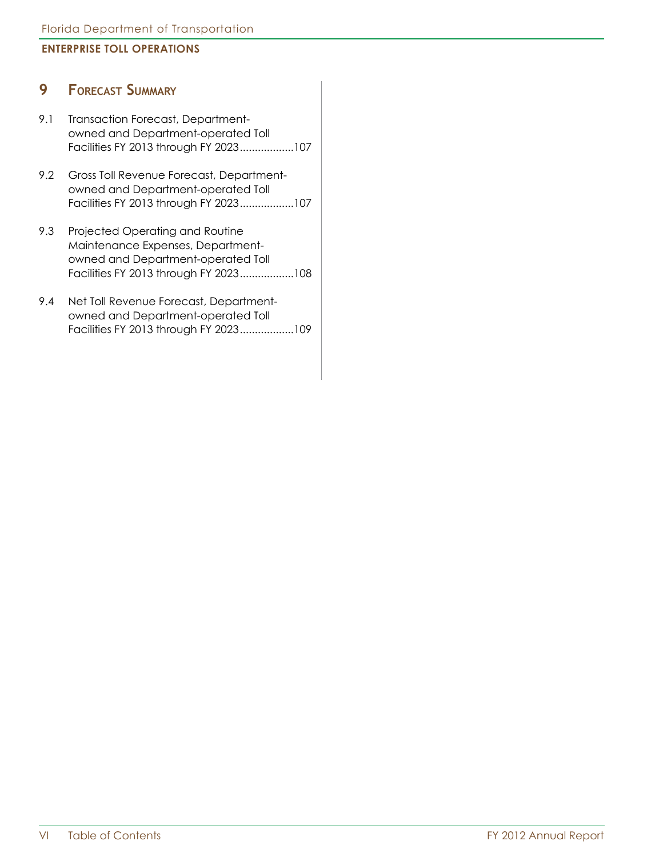### **9 Forecast Summary**

- 9.1 Transaction Forecast, Department- owned and Department-operated Toll Facilities FY 2013 through FY 2023..................107
- 9.2 Gross Toll Revenue Forecast, Department- owned and Department-operated Toll Facilities FY 2013 through FY 2023..................107
- 9.3 Projected Operating and Routine Maintenance Expenses, Department- owned and Department-operated Toll Facilities FY 2013 through FY 2023..................108
- 9.4 Net Toll Revenue Forecast, Department- owned and Department-operated Toll Facilities FY 2013 through FY 2023..................109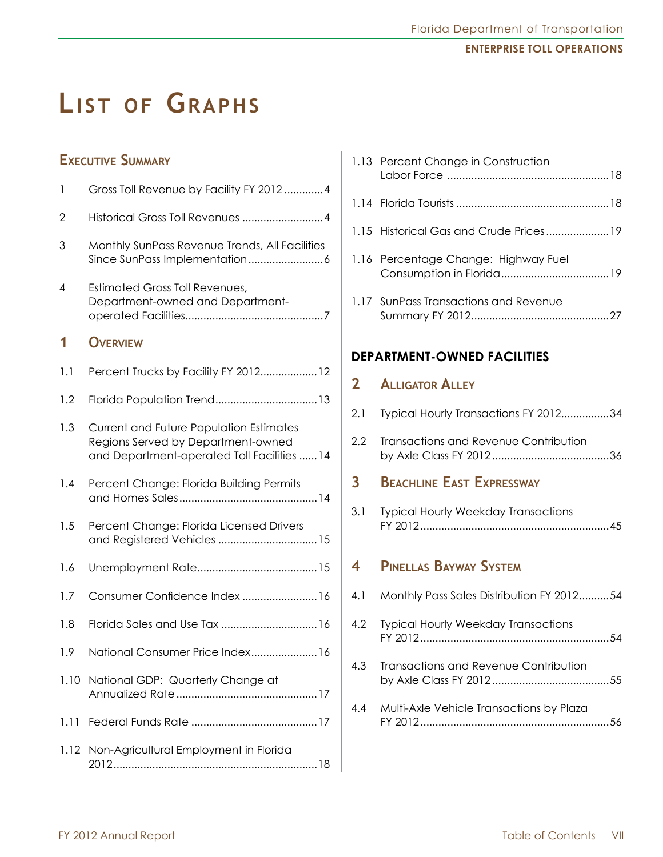## **LIST OF GRAPHS**

### **Executive Summary**

| 1    | Gross Toll Revenue by Facility FY 2012 4                                                                                            |
|------|-------------------------------------------------------------------------------------------------------------------------------------|
| 2    | Historical Gross Toll Revenues 4                                                                                                    |
| 3    | Monthly SunPass Revenue Trends, All Facilities                                                                                      |
| 4    | <b>Estimated Gross Toll Revenues,</b><br>Department-owned and Department-                                                           |
| 1    | <b>OVERVIEW</b>                                                                                                                     |
| 1.1  | Percent Trucks by Facility FY 201212                                                                                                |
| 1.2  |                                                                                                                                     |
| 1.3  | <b>Current and Future Population Estimates</b><br>Regions Served by Department-owned<br>and Department-operated Toll Facilities  14 |
| 1.4  | Percent Change: Florida Building Permits                                                                                            |
| 1.5  | Percent Change: Florida Licensed Drivers<br>and Registered Vehicles  15                                                             |
| 1.6  |                                                                                                                                     |
| 1.7  | Consumer Confidence Index  16                                                                                                       |
| 1.8  |                                                                                                                                     |
| 1.9  | National Consumer Price Index 16                                                                                                    |
| 1.10 | National GDP: Quarterly Change at                                                                                                   |
| 1.11 |                                                                                                                                     |
| 1.12 | Non-Agricultural Employment in Florida                                                                                              |

|  | 1.13 Percent Change in Construction   |  |
|--|---------------------------------------|--|
|  |                                       |  |
|  |                                       |  |
|  | 1.16 Percentage Change: Highway Fuel  |  |
|  | 1.17 SunPass Transactions and Revenue |  |
|  |                                       |  |

### **Department-owned Facilities**

### **2 Alligator Alley**

| Typical Hourly Transactions FY 201234<br>2.1 |  |
|----------------------------------------------|--|
|----------------------------------------------|--|

2.2 Transactions and Revenue Contribution by Axle Class FY 2012 .......................................36

### **3 Beachline East Expressway**

3.1 Typical Hourly Weekday Transactions FY 2012...............................................................45

## **4 Pinellas Bayway System**

| 4.1 | Monthly Pass Sales Distribution FY 201254    |  |
|-----|----------------------------------------------|--|
|     | 4.2 Typical Hourly Weekday Transactions      |  |
| 4.3 | <b>Transactions and Revenue Contribution</b> |  |
| 4.4 | Multi-Axle Vehicle Transactions by Plaza     |  |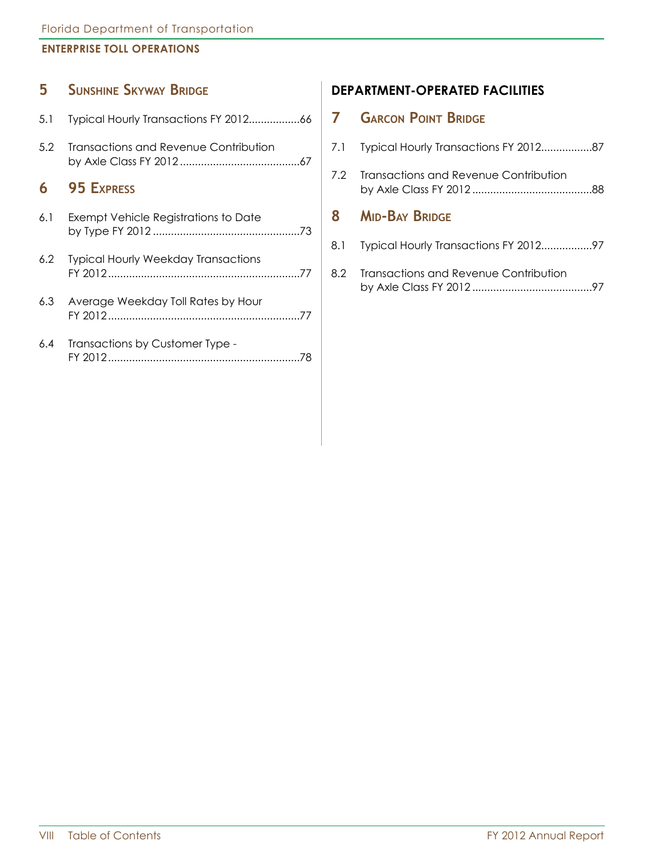### **5 Sunshine Skyway Bridge**

| 5.1 |                                            |
|-----|--------------------------------------------|
| 5.2 | Transactions and Revenue Contribution      |
|     | 6 95 EXPRESS                               |
| 6.1 | Exempt Vehicle Registrations to Date       |
| 6.2 | <b>Typical Hourly Weekday Transactions</b> |

- 6.3 Average Weekday Toll Rates by Hour FY 2012................................................................77
- 6.4 Transactions by Customer Type FY 2012................................................................78

### **Department-operated Facilities**

### **7 Garcon Point Bridge**

|     | 7.1 Typical Hourly Transactions FY 201287 |
|-----|-------------------------------------------|
|     | 7.2 Transactions and Revenue Contribution |
| 8 - | <b>MID-BAY BRIDGE</b>                     |
|     |                                           |
|     | 8.2 Transactions and Revenue Contribution |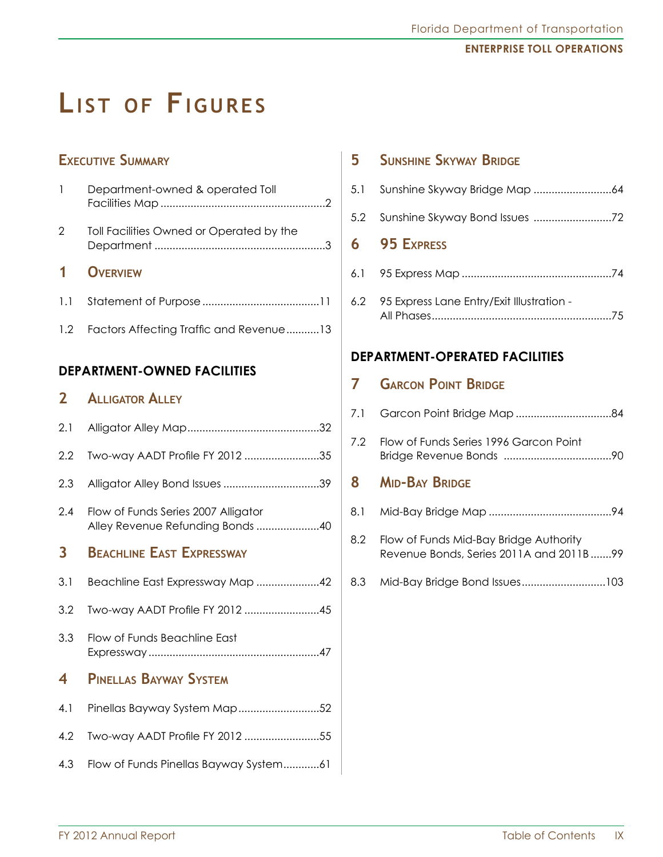## LIST OF FIGURES

## **Executive Summary**

| $\mathbf{1}$   | Department-owned & operated Toll         |
|----------------|------------------------------------------|
| 2              | Toll Facilities Owned or Operated by the |
|                |                                          |
| 1 <sup>1</sup> | <b>OVERVIEW</b>                          |
| 1.1            |                                          |

### **Department-owned Facilities**

## **2 Alligator Alley**

| 2.1 |                                                                         |
|-----|-------------------------------------------------------------------------|
| 2.2 | Two-way AADT Profile FY 2012 35                                         |
| 2.3 |                                                                         |
| 2.4 | Flow of Funds Series 2007 Alligator<br>Alley Revenue Refunding Bonds 40 |
| 3   | <b>BEACHLINE EAST EXPRESSWAY</b>                                        |
| 3.1 | Beachline East Expressway Map 42                                        |
| 3.2 | Two-way AADT Profile FY 2012 45                                         |
| 3.3 | Flow of Funds Beachline East                                            |
| 4   | <b>PINELLAS BAYWAY SYSTEM</b>                                           |
| 4.1 | Pinellas Bayway System Map52                                            |
| 4.2 | Two-way AADT Profile FY 2012 55                                         |
| 4.3 | Flow of Funds Pinellas Bayway System61                                  |

## **5 Sunshine Skyway Bridge**

| 5.1 |                                           |
|-----|-------------------------------------------|
| 5.2 |                                           |
|     | 6 95 EXPRESS                              |
|     |                                           |
| 6.2 | 95 Express Lane Entry/Exit Illustration - |

### **Department-operated Facilities**

|     | <b>GARCON POINT BRIDGE</b>                                                        |
|-----|-----------------------------------------------------------------------------------|
| 7.1 |                                                                                   |
| 7.2 | Flow of Funds Series 1996 Garcon Point                                            |
| 8   | <b>MID-BAY BRIDGE</b>                                                             |
| 8.1 |                                                                                   |
| 8.2 | Flow of Funds Mid-Bay Bridge Authority<br>Revenue Bonds, Series 2011A and 2011B99 |
| 8.3 |                                                                                   |